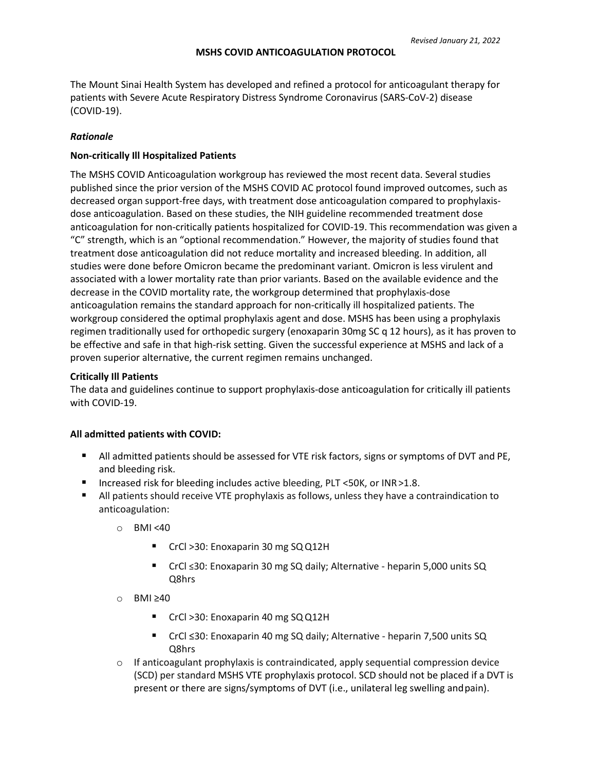The Mount Sinai Health System has developed and refined a protocol for anticoagulant therapy for patients with Severe Acute Respiratory Distress Syndrome Coronavirus (SARS-CoV-2) disease (COVID-19).

# *Rationale*

## **Non-critically Ill Hospitalized Patients**

The MSHS COVID Anticoagulation workgroup has reviewed the most recent data. Several studies published since the prior version of the MSHS COVID AC protocol found improved outcomes, such as decreased organ support-free days, with treatment dose anticoagulation compared to prophylaxisdose anticoagulation. Based on these studies, the NIH guideline recommended treatment dose anticoagulation for non-critically patients hospitalized for COVID-19. This recommendation was given a "C" strength, which is an "optional recommendation." However, the majority of studies found that treatment dose anticoagulation did not reduce mortality and increased bleeding. In addition, all studies were done before Omicron became the predominant variant. Omicron is less virulent and associated with a lower mortality rate than prior variants. Based on the available evidence and the decrease in the COVID mortality rate, the workgroup determined that prophylaxis-dose anticoagulation remains the standard approach for non-critically ill hospitalized patients. The workgroup considered the optimal prophylaxis agent and dose. MSHS has been using a prophylaxis regimen traditionally used for orthopedic surgery (enoxaparin 30mg SC q 12 hours), as it has proven to be effective and safe in that high-risk setting. Given the successful experience at MSHS and lack of a proven superior alternative, the current regimen remains unchanged.

# **Critically Ill Patients**

The data and guidelines continue to support prophylaxis-dose anticoagulation for critically ill patients with COVID-19.

### **All admitted patients with COVID:**

- **All admitted patients should be assessed for VTE risk factors, signs or symptoms of DVT and PE,** and bleeding risk.
- Increased risk for bleeding includes active bleeding, PLT <50K, or INR > 1.8.
- All patients should receive VTE prophylaxis as follows, unless they have a contraindication to anticoagulation:
	- o BMI <40
		- CrCl >30: Enoxaparin 30 mg SQ Q12H
		- CrCl ≤30: Enoxaparin 30 mg SQ daily; Alternative heparin 5,000 units SQ Q8hrs
	- o BMI ≥40
		- CrCl >30: Enoxaparin 40 mg SQ Q12H
		- CrCl ≤30: Enoxaparin 40 mg SQ daily; Alternative heparin 7,500 units SQ Q8hrs
	- $\circ$  If anticoagulant prophylaxis is contraindicated, apply sequential compression device (SCD) per standard MSHS VTE prophylaxis protocol. SCD should not be placed if a DVT is present or there are signs/symptoms of DVT (i.e., unilateral leg swelling andpain).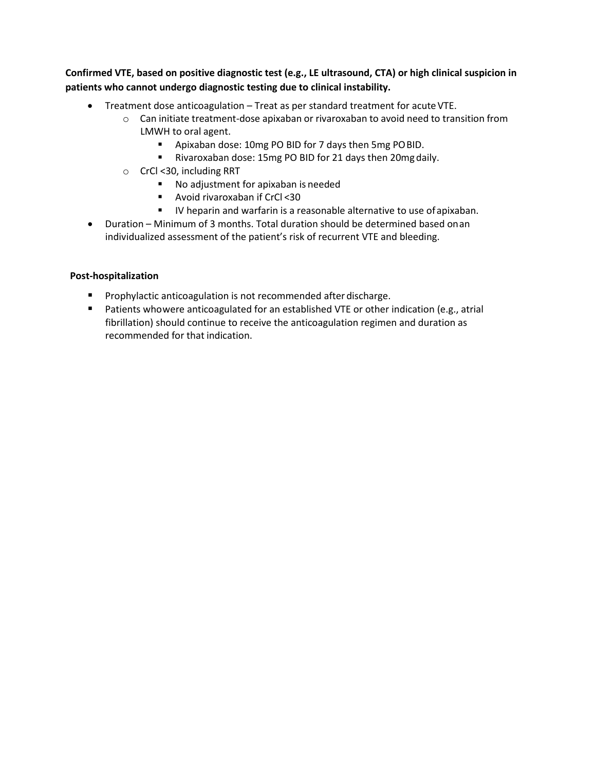**Confirmed VTE, based on positive diagnostic test (e.g., LE ultrasound, CTA) or high clinical suspicion in patients who cannot undergo diagnostic testing due to clinical instability.**

- Treatment dose anticoagulation Treat as per standard treatment for acute VTE.
	- $\circ$  Can initiate treatment-dose apixaban or rivaroxaban to avoid need to transition from LMWH to oral agent.
		- Apixaban dose: 10mg PO BID for 7 days then 5mg POBID.
		- Rivaroxaban dose: 15mg PO BID for 21 days then 20mgdaily.
	- o CrCl <30, including RRT
		- No adjustment for apixaban is needed
		- Avoid rivaroxaban if CrCl <30
		- **IV** heparin and warfarin is a reasonable alternative to use of apixaban.
- Duration Minimum of 3 months. Total duration should be determined based onan individualized assessment of the patient's risk of recurrent VTE and bleeding.

# **Post-hospitalization**

- **Prophylactic anticoagulation is not recommended after discharge.**
- **Patients whowere anticoagulated for an established VTE or other indication (e.g., atrial** fibrillation) should continue to receive the anticoagulation regimen and duration as recommended for that indication.